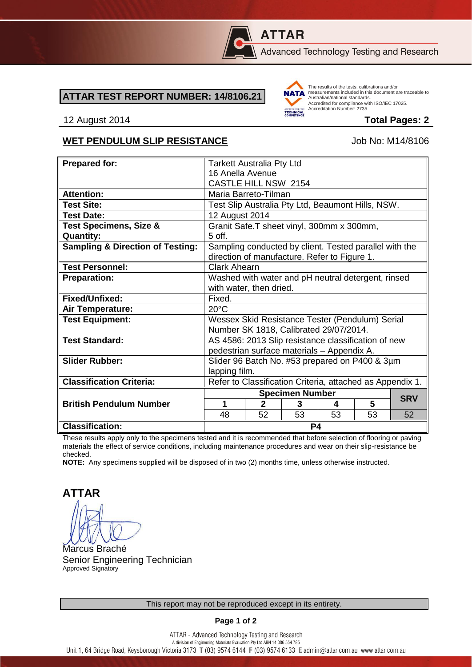

# **ATTAR**

Advanced Technology Testing and Research

#### **ATTAR TEST REPORT NUMBER: 14/8106.21**



The results of the tests, calibrations and/or measurements included in this document are traceable to Australian/national standards. Adstrational Midtonian Standards:<br>Accredited for compliance with ISO/IEC 17025. Accreditation Number: 2735

#### 12 August 2014 **Total Pages: 2**

### WET PENDULUM SLIP RESISTANCE Job No: M14/8106

| <b>Prepared for:</b>                        | <b>Tarkett Australia Pty Ltd</b>                                                                       |              |    |    |    |            |
|---------------------------------------------|--------------------------------------------------------------------------------------------------------|--------------|----|----|----|------------|
|                                             | 16 Anella Avenue                                                                                       |              |    |    |    |            |
|                                             | <b>CASTLE HILL NSW 2154</b>                                                                            |              |    |    |    |            |
| <b>Attention:</b>                           | Maria Barreto-Tilman                                                                                   |              |    |    |    |            |
| <b>Test Site:</b>                           | Test Slip Australia Pty Ltd, Beaumont Hills, NSW.                                                      |              |    |    |    |            |
| <b>Test Date:</b>                           | 12 August 2014                                                                                         |              |    |    |    |            |
| <b>Test Specimens, Size &amp;</b>           | Granit Safe.T sheet vinyl, 300mm x 300mm,                                                              |              |    |    |    |            |
| <b>Quantity:</b>                            | 5 off.                                                                                                 |              |    |    |    |            |
| <b>Sampling &amp; Direction of Testing:</b> | Sampling conducted by client. Tested parallel with the<br>direction of manufacture. Refer to Figure 1. |              |    |    |    |            |
| <b>Test Personnel:</b>                      | <b>Clark Ahearn</b>                                                                                    |              |    |    |    |            |
| <b>Preparation:</b>                         | Washed with water and pH neutral detergent, rinsed                                                     |              |    |    |    |            |
|                                             | with water, then dried.                                                                                |              |    |    |    |            |
| Fixed/Unfixed:                              | Fixed.                                                                                                 |              |    |    |    |            |
| Air Temperature:                            | $20^{\circ}$ C                                                                                         |              |    |    |    |            |
| <b>Test Equipment:</b>                      | Wessex Skid Resistance Tester (Pendulum) Serial                                                        |              |    |    |    |            |
|                                             | Number SK 1818, Calibrated 29/07/2014.                                                                 |              |    |    |    |            |
| <b>Test Standard:</b>                       | AS 4586: 2013 Slip resistance classification of new                                                    |              |    |    |    |            |
|                                             | pedestrian surface materials - Appendix A.                                                             |              |    |    |    |            |
| <b>Slider Rubber:</b>                       | Slider 96 Batch No. #53 prepared on P400 & 3µm                                                         |              |    |    |    |            |
|                                             | lapping film.                                                                                          |              |    |    |    |            |
| <b>Classification Criteria:</b>             | Refer to Classification Criteria, attached as Appendix 1.                                              |              |    |    |    |            |
|                                             | <b>Specimen Number</b>                                                                                 |              |    |    |    |            |
| <b>British Pendulum Number</b>              | 1                                                                                                      | $\mathbf{2}$ | 3  | 4  | 5  | <b>SRV</b> |
|                                             | 48                                                                                                     | 52           | 53 | 53 | 53 | 52         |
| <b>Classification:</b>                      | P4                                                                                                     |              |    |    |    |            |

These results apply only to the specimens tested and it is recommended that before selection of flooring or paving materials the effect of service conditions, including maintenance procedures and wear on their slip-resistance be checked.

**NOTE:** Any specimens supplied will be disposed of in two (2) months time, unless otherwise instructed.

**ATTAR**

Marcus Braché Senior Engineering Technician Approved Signatory

**Page 1 of 2**